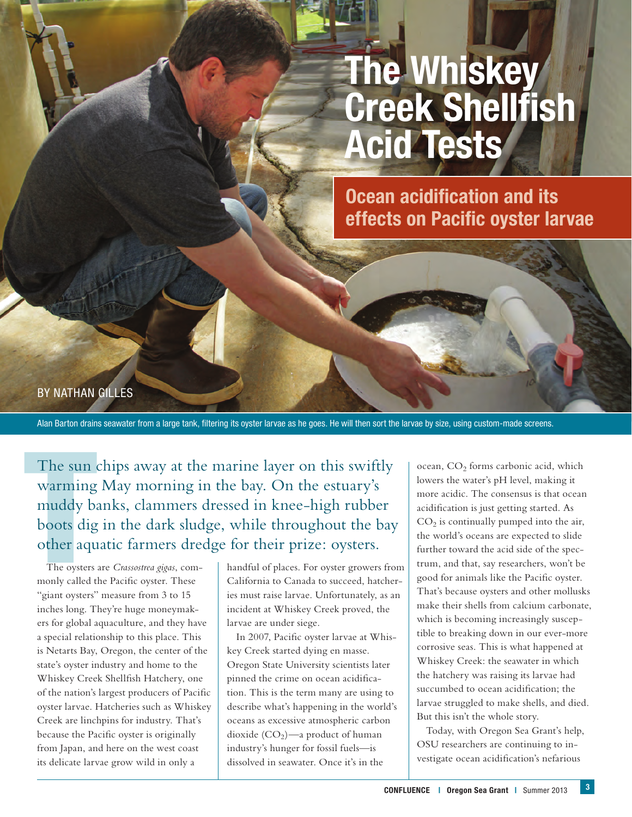# **The Whiskey Creek Shellfish Acid Tests**

**Ocean acidification and its effects on Pacific oyster larvae**

BY NATHAN GILLES

Alan Barton drains seawater from a large tank, filtering its oyster larvae as he goes. He will then sort the larvae by size, using custom-made screens.

The sun<br>warming<br>muddy b:<br>boots dig<br>other aqu<br>The oysters<br>monly called t The sun chips away at the marine layer on this swiftly warming May morning in the bay. On the estuary's muddy banks, clammers dressed in knee-high rubber boots dig in the dark sludge, while throughout the bay other aquatic farmers dredge for their prize: oysters.

The oysters are *Crassostrea gigas*, commonly called the Pacific oyster. These "giant oysters" measure from 3 to 15 inches long. They're huge moneymakers for global aquaculture, and they have a special relationship to this place. This is Netarts Bay, Oregon, the center of the state's oyster industry and home to the Whiskey Creek Shellfish Hatchery, one of the nation's largest producers of Pacific oyster larvae. Hatcheries such as Whiskey Creek are linchpins for industry. That's because the Pacific oyster is originally from Japan, and here on the west coast its delicate larvae grow wild in only a

handful of places. For oyster growers from California to Canada to succeed, hatcheries must raise larvae. Unfortunately, as an incident at Whiskey Creek proved, the larvae are under siege.

In 2007, Pacific oyster larvae at Whiskey Creek started dying en masse. Oregon State University scientists later pinned the crime on ocean acidification. This is the term many are using to describe what's happening in the world's oceans as excessive atmospheric carbon dioxide  $(CO_2)$ —a product of human industry's hunger for fossil fuels—is dissolved in seawater. Once it's in the

ocean, CO<sub>2</sub> forms carbonic acid, which lowers the water's pH level, making it more acidic. The consensus is that ocean acidification is just getting started. As  $CO<sub>2</sub>$  is continually pumped into the air, the world's oceans are expected to slide further toward the acid side of the spectrum, and that, say researchers, won't be good for animals like the Pacific oyster. That's because oysters and other mollusks make their shells from calcium carbonate, which is becoming increasingly susceptible to breaking down in our ever-more corrosive seas. This is what happened at Whiskey Creek: the seawater in which the hatchery was raising its larvae had succumbed to ocean acidification; the larvae struggled to make shells, and died. But this isn't the whole story.

Today, with Oregon Sea Grant's help, OSU researchers are continuing to investigate ocean acidification's nefarious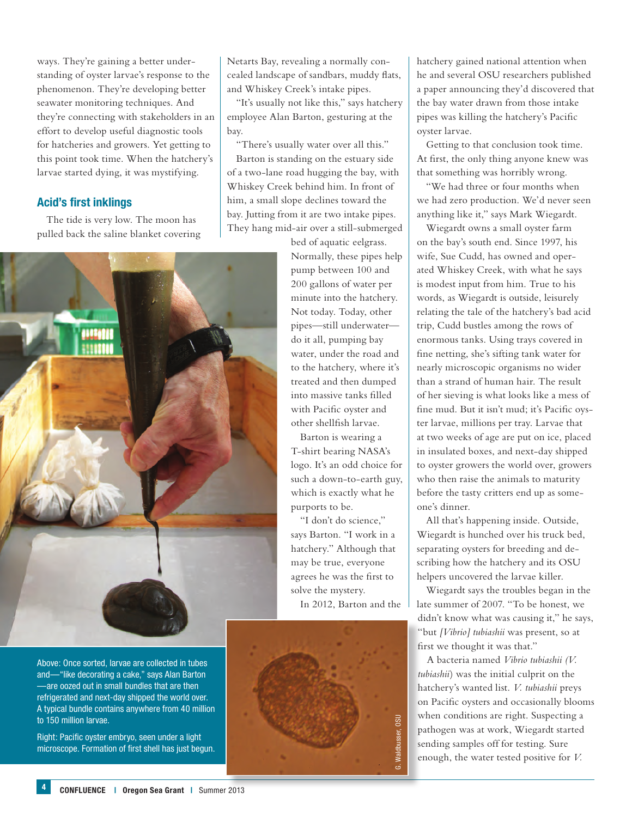ways. They're gaining a better understanding of oyster larvae's response to the phenomenon. They're developing better seawater monitoring techniques. And they're connecting with stakeholders in an effort to develop useful diagnostic tools for hatcheries and growers. Yet getting to this point took time. When the hatchery's larvae started dying, it was mystifying.

### **Acid's first inklings**

The tide is very low. The moon has pulled back the saline blanket covering



Above: Once sorted, larvae are collected in tubes and—"like decorating a cake," says Alan Barton —are oozed out in small bundles that are then refrigerated and next-day shipped the world over. A typical bundle contains anywhere from 40 million to 150 million larvae.

Right: Pacific oyster embryo, seen under a light microscope. Formation of first shell has just begun. Netarts Bay, revealing a normally concealed landscape of sandbars, muddy flats, and Whiskey Creek's intake pipes.

"It's usually not like this," says hatchery employee Alan Barton, gesturing at the bay.

"There's usually water over all this." Barton is standing on the estuary side of a two-lane road hugging the bay, with Whiskey Creek behind him. In front of him, a small slope declines toward the bay. Jutting from it are two intake pipes. They hang mid-air over a still-submerged

> bed of aquatic eelgrass. Normally, these pipes help pump between 100 and 200 gallons of water per minute into the hatchery. Not today. Today, other pipes—still underwater do it all, pumping bay water, under the road and to the hatchery, where it's treated and then dumped into massive tanks filled with Pacific oyster and other shellfish larvae.

> Barton is wearing a T-shirt bearing NASA's logo. It's an odd choice for such a down-to-earth guy, which is exactly what he purports to be.

"I don't do science," says Barton. "I work in a hatchery." Although that may be true, everyone agrees he was the first to solve the mystery.

In 2012, Barton and the



hatchery gained national attention when he and several OSU researchers published a paper announcing they'd discovered that the bay water drawn from those intake pipes was killing the hatchery's Pacific oyster larvae.

Getting to that conclusion took time. At first, the only thing anyone knew was that something was horribly wrong.

"We had three or four months when we had zero production. We'd never seen anything like it," says Mark Wiegardt.

Wiegardt owns a small oyster farm on the bay's south end. Since 1997, his wife, Sue Cudd, has owned and operated Whiskey Creek, with what he says is modest input from him. True to his words, as Wiegardt is outside, leisurely relating the tale of the hatchery's bad acid trip, Cudd bustles among the rows of enormous tanks. Using trays covered in fine netting, she's sifting tank water for nearly microscopic organisms no wider than a strand of human hair. The result of her sieving is what looks like a mess of fine mud. But it isn't mud; it's Pacific oyster larvae, millions per tray. Larvae that at two weeks of age are put on ice, placed in insulated boxes, and next-day shipped to oyster growers the world over, growers who then raise the animals to maturity before the tasty critters end up as someone's dinner.

All that's happening inside. Outside, Wiegardt is hunched over his truck bed, separating oysters for breeding and describing how the hatchery and its OSU helpers uncovered the larvae killer.

Wiegardt says the troubles began in the late summer of 2007. "To be honest, we didn't know what was causing it," he says, "but *[Vibrio] tubiashii* was present, so at first we thought it was that."

A bacteria named *Vibrio tubiashii (V. tubiashii*) was the initial culprit on the hatchery's wanted list. *V. tubiashii* preys on Pacific oysters and occasionally blooms when conditions are right. Suspecting a pathogen was at work, Wiegardt started sending samples off for testing. Sure enough, the water tested positive for *V.*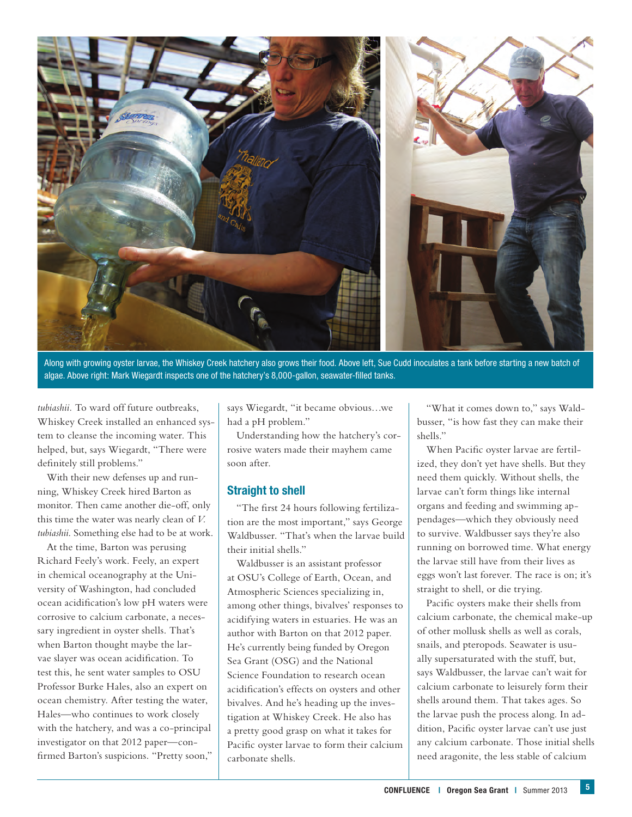

Along with growing oyster larvae, the Whiskey Creek hatchery also grows their food. Above left, Sue Cudd inoculates a tank before starting a new batch of algae. Above right: Mark Wiegardt inspects one of the hatchery's 8,000-gallon, seawater-filled tanks.

*tubiashii.* To ward off future outbreaks, Whiskey Creek installed an enhanced system to cleanse the incoming water. This helped, but, says Wiegardt, "There were definitely still problems."

With their new defenses up and running, Whiskey Creek hired Barton as monitor. Then came another die-off, only this time the water was nearly clean of *V. tubiashii*. Something else had to be at work.

At the time, Barton was perusing Richard Feely's work. Feely, an expert in chemical oceanography at the University of Washington, had concluded ocean acidification's low pH waters were corrosive to calcium carbonate, a necessary ingredient in oyster shells. That's when Barton thought maybe the larvae slayer was ocean acidification. To test this, he sent water samples to OSU Professor Burke Hales, also an expert on ocean chemistry. After testing the water, Hales—who continues to work closely with the hatchery, and was a co-principal investigator on that 2012 paper—confirmed Barton's suspicions. "Pretty soon,"

says Wiegardt, "it became obvious…we had a pH problem."

Understanding how the hatchery's corrosive waters made their mayhem came soon after.

### **Straight to shell**

"The first 24 hours following fertilization are the most important," says George Waldbusser. "That's when the larvae build their initial shells."

Waldbusser is an assistant professor at OSU's College of Earth, Ocean, and Atmospheric Sciences specializing in, among other things, bivalves' responses to acidifying waters in estuaries. He was an author with Barton on that 2012 paper. He's currently being funded by Oregon Sea Grant (OSG) and the National Science Foundation to research ocean acidification's effects on oysters and other bivalves. And he's heading up the investigation at Whiskey Creek. He also has a pretty good grasp on what it takes for Pacific oyster larvae to form their calcium carbonate shells.

"What it comes down to," says Waldbusser, "is how fast they can make their shells."

When Pacific oyster larvae are fertilized, they don't yet have shells. But they need them quickly. Without shells, the larvae can't form things like internal organs and feeding and swimming appendages—which they obviously need to survive. Waldbusser says they're also running on borrowed time. What energy the larvae still have from their lives as eggs won't last forever. The race is on; it's straight to shell, or die trying.

Pacific oysters make their shells from calcium carbonate, the chemical make-up of other mollusk shells as well as corals, snails, and pteropods. Seawater is usually supersaturated with the stuff, but, says Waldbusser, the larvae can't wait for calcium carbonate to leisurely form their shells around them. That takes ages. So the larvae push the process along. In addition, Pacific oyster larvae can't use just any calcium carbonate. Those initial shells need aragonite, the less stable of calcium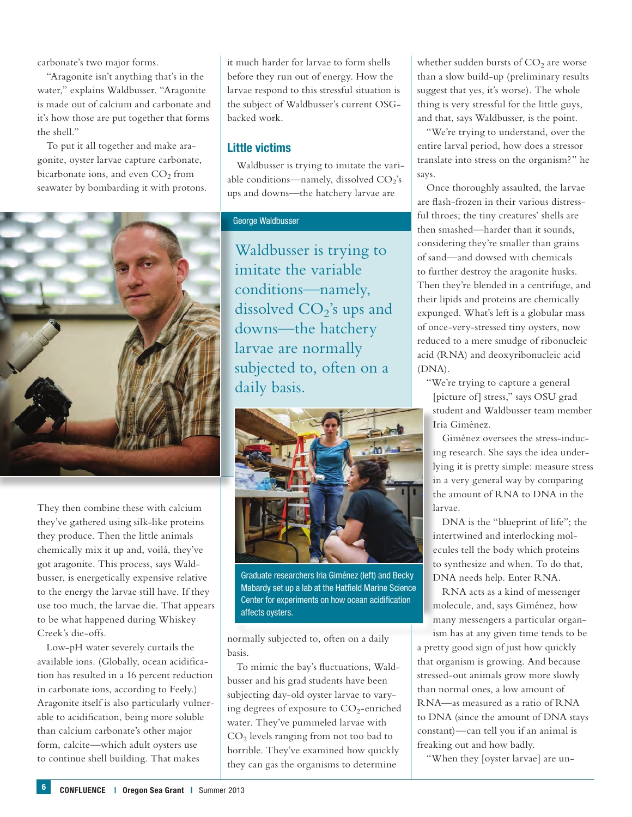carbonate's two major forms.

"Aragonite isn't anything that's in the water," explains Waldbusser. "Aragonite is made out of calcium and carbonate and it's how those are put together that forms the shell."

To put it all together and make aragonite, oyster larvae capture carbonate, bicarbonate ions, and even  $CO<sub>2</sub>$  from seawater by bombarding it with protons.



They then combine these with calcium they've gathered using silk-like proteins they produce. Then the little animals chemically mix it up and, voilá, they've got aragonite. This process, says Waldbusser, is energetically expensive relative to the energy the larvae still have. If they use too much, the larvae die. That appears to be what happened during Whiskey Creek's die-offs.

Low-pH water severely curtails the available ions. (Globally, ocean acidification has resulted in a 16 percent reduction in carbonate ions, according to Feely.) Aragonite itself is also particularly vulnerable to acidification, being more soluble than calcium carbonate's other major form, calcite—which adult oysters use to continue shell building. That makes

it much harder for larvae to form shells before they run out of energy. How the larvae respond to this stressful situation is the subject of Waldbusser's current OSGbacked work.

### **Little victims**

Waldbusser is trying to imitate the variable conditions—namely, dissolved  $CO<sub>2</sub>'s$ ups and downs—the hatchery larvae are

### George Waldbusser

Waldbusser is trying to imitate the variable conditions—namely, dissolved  $CO<sub>2</sub>$ 's ups and downs—the hatchery larvae are normally subjected to, often on a daily basis.



Graduate researchers Iria Giménez (left) and Becky Mabardy set up a lab at the Hatfield Marine Science Center for experiments on how ocean acidification affects oysters.

normally subjected to, often on a daily basis.

To mimic the bay's fluctuations, Waldbusser and his grad students have been subjecting day-old oyster larvae to varying degrees of exposure to  $CO_2$ -enriched water. They've pummeled larvae with CO2 levels ranging from not too bad to horrible. They've examined how quickly they can gas the organisms to determine

whether sudden bursts of  $CO<sub>2</sub>$  are worse than a slow build-up (preliminary results suggest that yes, it's worse). The whole thing is very stressful for the little guys, and that, says Waldbusser, is the point.

"We're trying to understand, over the entire larval period, how does a stressor translate into stress on the organism?" he says.

Once thoroughly assaulted, the larvae are flash-frozen in their various distressful throes; the tiny creatures' shells are then smashed—harder than it sounds, considering they're smaller than grains of sand—and dowsed with chemicals to further destroy the aragonite husks. Then they're blended in a centrifuge, and their lipids and proteins are chemically expunged. What's left is a globular mass of once-very-stressed tiny oysters, now reduced to a mere smudge of ribonucleic acid (RNA) and deoxyribonucleic acid (DNA).

"We're trying to capture a general [picture of] stress," says OSU grad student and Waldbusser team member Iria Giménez.

Giménez oversees the stress-inducing research. She says the idea underlying it is pretty simple: measure stress in a very general way by comparing the amount of RNA to DNA in the larvae.

DNA is the "blueprint of life"; the intertwined and interlocking molecules tell the body which proteins to synthesize and when. To do that, DNA needs help. Enter RNA.

RNA acts as a kind of messenger molecule, and, says Giménez, how many messengers a particular organ-

ism has at any given time tends to be a pretty good sign of just how quickly that organism is growing. And because stressed-out animals grow more slowly than normal ones, a low amount of RNA—as measured as a ratio of RNA to DNA (since the amount of DNA stays constant)—can tell you if an animal is freaking out and how badly.

"When they [oyster larvae] are un-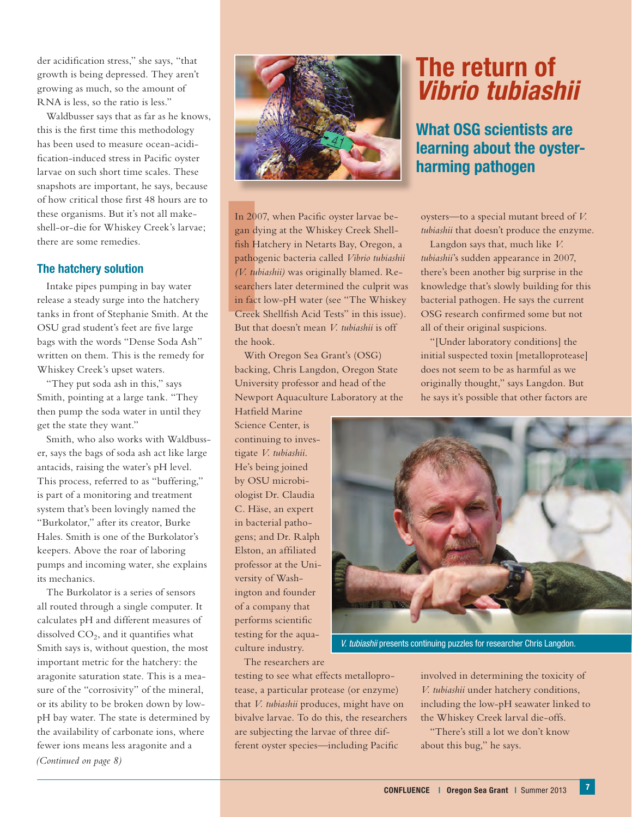der acidification stress," she says, "that growth is being depressed. They aren't growing as much, so the amount of RNA is less, so the ratio is less."

Waldbusser says that as far as he knows, this is the first time this methodology has been used to measure ocean-acidification-induced stress in Pacific oyster larvae on such short time scales. These snapshots are important, he says, because of how critical those first 48 hours are to these organisms. But it's not all makeshell-or-die for Whiskey Creek's larvae; there are some remedies.

### **The hatchery solution**

Intake pipes pumping in bay water release a steady surge into the hatchery tanks in front of Stephanie Smith. At the OSU grad student's feet are five large bags with the words "Dense Soda Ash" written on them. This is the remedy for Whiskey Creek's upset waters.

"They put soda ash in this," says Smith, pointing at a large tank. "They then pump the soda water in until they get the state they want."

Smith, who also works with Waldbusser, says the bags of soda ash act like large antacids, raising the water's pH level. This process, referred to as "buffering," is part of a monitoring and treatment system that's been lovingly named the "Burkolator," after its creator, Burke Hales. Smith is one of the Burkolator's keepers. Above the roar of laboring pumps and incoming water, she explains its mechanics.

The Burkolator is a series of sensors all routed through a single computer. It calculates pH and different measures of dissolved  $CO<sub>2</sub>$ , and it quantifies what Smith says is, without question, the most important metric for the hatchery: the aragonite saturation state. This is a measure of the "corrosivity" of the mineral, or its ability to be broken down by lowpH bay water. The state is determined by the availability of carbonate ions, where fewer ions means less aragonite and a *(Continued on page 8)*



In 200<br>
gan dy<br>
fish Ha<br>
pathog<br>
(*V. tubs*<br>
searche<br>
in fact<br>
Creek<br>
But tha In 2007, when Pacific oyster larvae began dying at the Whiskey Creek Shellfish Hatchery in Netarts Bay, Oregon, a pathogenic bacteria called *Vibrio tubiashii (V. tubiashii)* was originally blamed. Researchers later determined the culprit was in fact low-pH water (see "The Whiskey Creek Shellfish Acid Tests" in this issue). But that doesn't mean *V. tubiashii* is off the hook.

With Oregon Sea Grant's (OSG) backing, Chris Langdon, Oregon State University professor and head of the Newport Aquaculture Laboratory at the

Hatfield Marine Science Center, is continuing to investigate *V. tubiashii*. He's being joined by OSU microbiologist Dr. Claudia C. Häse, an expert in bacterial pathogens; and Dr. Ralph Elston, an affiliated professor at the University of Washington and founder of a company that performs scientific testing for the aquaculture industry.

# **The return of**  *Vibrio tubiashii*

## **What OSG scientists are learning about the oysterharming pathogen**

oysters—to a special mutant breed of *V. tubiashii* that doesn't produce the enzyme.

Langdon says that, much like *V. tubiashii*'s sudden appearance in 2007, there's been another big surprise in the knowledge that's slowly building for this bacterial pathogen. He says the current OSG research confirmed some but not all of their original suspicions.

"[Under laboratory conditions] the initial suspected toxin [metalloprotease] does not seem to be as harmful as we originally thought," says Langdon. But he says it's possible that other factors are



*V. tubiashii* presents continuing puzzles for researcher Chris Langdon.

The researchers are

testing to see what effects metalloprotease, a particular protease (or enzyme) that *V. tubiashii* produces, might have on bivalve larvae. To do this, the researchers are subjecting the larvae of three different oyster species—including Pacific

involved in determining the toxicity of *V. tubiashii* under hatchery conditions, including the low-pH seawater linked to the Whiskey Creek larval die-offs.

"There's still a lot we don't know about this bug," he says.